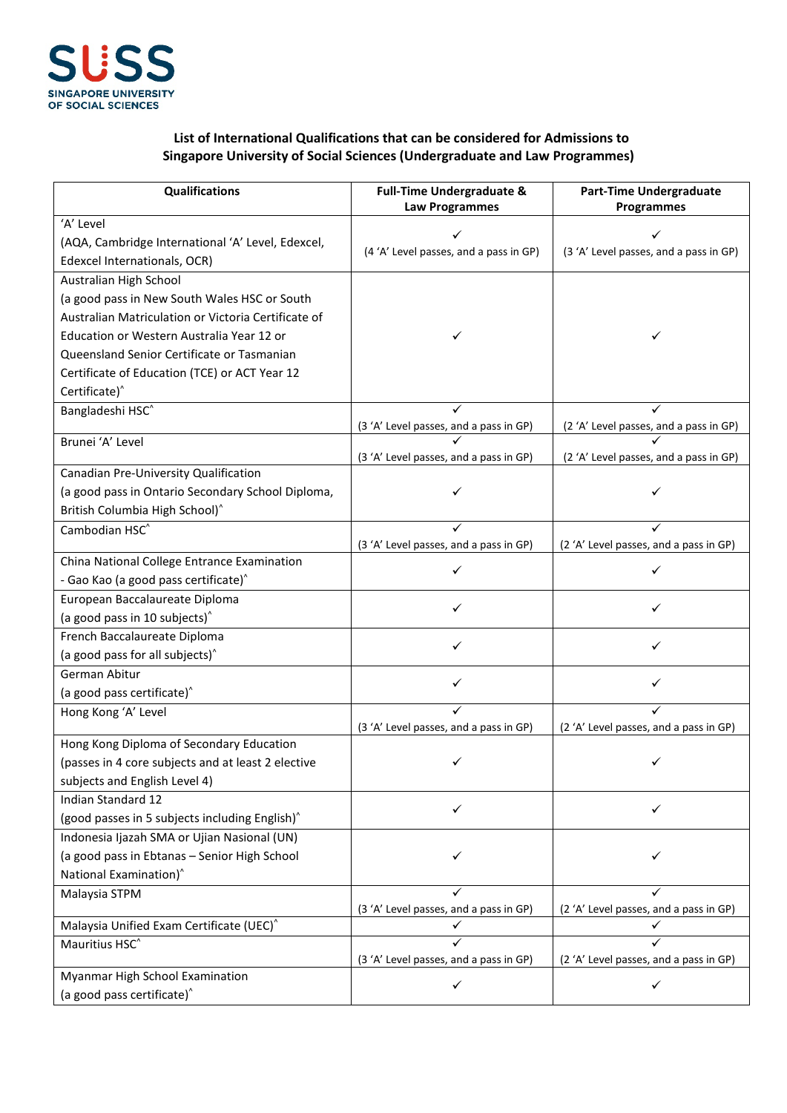

## **List of International Qualifications that can be considered for Admissions to Singapore University of Social Sciences (Undergraduate and Law Programmes)**

| <b>Qualifications</b>                                                                                   | <b>Full-Time Undergraduate &amp;</b><br><b>Law Programmes</b> | <b>Part-Time Undergraduate</b><br>Programmes |
|---------------------------------------------------------------------------------------------------------|---------------------------------------------------------------|----------------------------------------------|
| 'A' Level                                                                                               |                                                               |                                              |
| (AQA, Cambridge International 'A' Level, Edexcel,                                                       |                                                               |                                              |
| Edexcel Internationals, OCR)                                                                            | (4 'A' Level passes, and a pass in GP)                        | (3 'A' Level passes, and a pass in GP)       |
| Australian High School                                                                                  |                                                               |                                              |
| (a good pass in New South Wales HSC or South                                                            |                                                               |                                              |
| Australian Matriculation or Victoria Certificate of                                                     |                                                               |                                              |
| Education or Western Australia Year 12 or                                                               |                                                               | ✓                                            |
| Queensland Senior Certificate or Tasmanian                                                              |                                                               |                                              |
| Certificate of Education (TCE) or ACT Year 12                                                           |                                                               |                                              |
| Certificate) <sup>^</sup>                                                                               |                                                               |                                              |
| Bangladeshi HSC <sup>^</sup>                                                                            |                                                               |                                              |
|                                                                                                         | (3 'A' Level passes, and a pass in GP)                        | (2 'A' Level passes, and a pass in GP)       |
| Brunei 'A' Level                                                                                        |                                                               |                                              |
|                                                                                                         | (3 'A' Level passes, and a pass in GP)                        | (2 'A' Level passes, and a pass in GP)       |
| Canadian Pre-University Qualification                                                                   |                                                               |                                              |
| (a good pass in Ontario Secondary School Diploma,                                                       | ✓                                                             | ✓                                            |
| British Columbia High School) <sup>^</sup>                                                              |                                                               |                                              |
| Cambodian HSC <sup>^</sup>                                                                              | ✓                                                             |                                              |
| China National College Entrance Examination                                                             | (3 'A' Level passes, and a pass in GP)                        | (2 'A' Level passes, and a pass in GP)       |
| - Gao Kao (a good pass certificate) <sup>^</sup>                                                        | ✓                                                             |                                              |
| European Baccalaureate Diploma                                                                          |                                                               |                                              |
| (a good pass in 10 subjects) <sup>^</sup>                                                               | ✓                                                             |                                              |
| French Baccalaureate Diploma                                                                            |                                                               |                                              |
| (a good pass for all subjects) <sup>^</sup>                                                             | ✓                                                             | ✓                                            |
| German Abitur                                                                                           |                                                               |                                              |
| (a good pass certificate) <sup>^</sup>                                                                  | ✓                                                             | ✓                                            |
| Hong Kong 'A' Level                                                                                     |                                                               |                                              |
|                                                                                                         | (3 'A' Level passes, and a pass in GP)                        | (2 'A' Level passes, and a pass in GP)       |
| Hong Kong Diploma of Secondary Education                                                                |                                                               |                                              |
| (passes in 4 core subjects and at least 2 elective                                                      | ✓                                                             | ✓                                            |
| subjects and English Level 4)                                                                           |                                                               |                                              |
| Indian Standard 12                                                                                      | ✓                                                             | ✓                                            |
| (good passes in 5 subjects including English) <sup>^</sup>                                              |                                                               |                                              |
| Indonesia Ijazah SMA or Ujian Nasional (UN)                                                             |                                                               |                                              |
| (a good pass in Ebtanas - Senior High School                                                            | ✓                                                             |                                              |
| National Examination) <sup>^</sup>                                                                      |                                                               |                                              |
| Malaysia STPM                                                                                           |                                                               |                                              |
|                                                                                                         | (3 'A' Level passes, and a pass in GP)                        | (2 'A' Level passes, and a pass in GP)       |
| Malaysia Unified Exam Certificate (UEC) <sup>^</sup>                                                    | ✓                                                             | ✓                                            |
|                                                                                                         |                                                               |                                              |
|                                                                                                         |                                                               |                                              |
|                                                                                                         | $\checkmark$                                                  | $\checkmark$                                 |
| Mauritius HSC <sup>^</sup><br>Myanmar High School Examination<br>(a good pass certificate) <sup>^</sup> | (3 'A' Level passes, and a pass in GP)                        | (2 'A' Level passes, and a pass in GP)       |